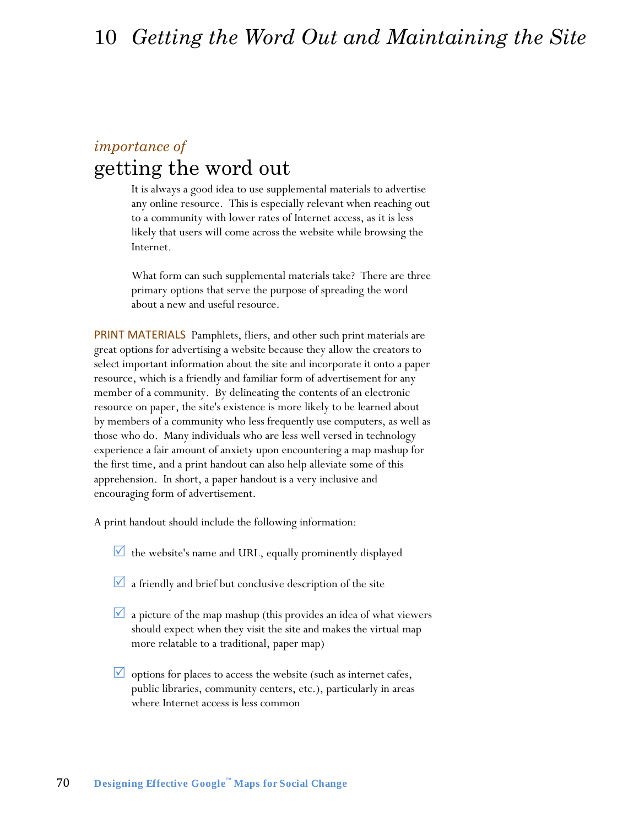# *importance of*  getting the word out

It is always a good idea to use supplemental materials to advertise any online resource. This is especially relevant when reaching out to a community with lower rates of Internet access, as it is less likely that users will come across the website while browsing the Internet.

What form can such supplemental materials take? There are three primary options that serve the purpose of spreading the word about a new and useful resource.

PRINT MATERIALS Pamphlets, fliers, and other such print materials are great options for advertising a website because they allow the creators to select important information about the site and incorporate it onto a paper resource, which is a friendly and familiar form of advertisement for any member of a community. By delineating the contents of an electronic resource on paper, the site's existence is more likely to be learned about by members of a community who less frequently use computers, as well as those who do. Many individuals who are less well versed in technology experience a fair amount of anxiety upon encountering a map mashup for the first time, and a print handout can also help alleviate some of this apprehension. In short, a paper handout is a very inclusive and encouraging form of advertisement.

A print handout should include the following information:

- $\vee$  the website's name and URL, equally prominently displayed
- $\Box$  a friendly and brief but conclusive description of the site
- $\vee$  a picture of the map mashup (this provides an idea of what viewers should expect when they visit the site and makes the virtual map more relatable to a traditional, paper map)
- $\vee$  options for places to access the website (such as internet cafes, public libraries, community centers, etc.), particularly in areas where Internet access is less common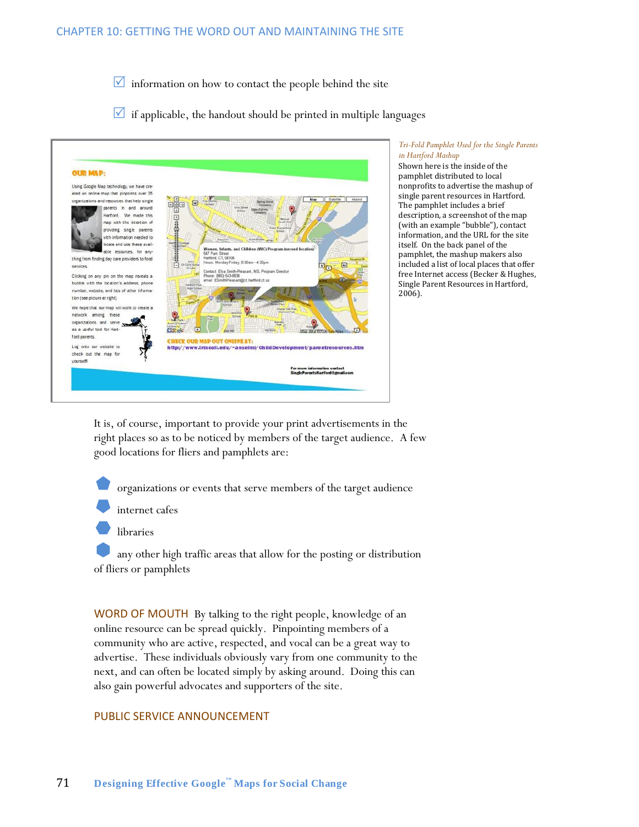$\vee$  information on how to contact the people behind the site

 $\blacksquare$  if applicable, the handout should be printed in multiple languages



### *Tri-Fold Pamphlet Used for the Single Parents in Hartford Mashup*

Shown here is the inside of the pamphlet distributed to local nonprofits to advertise the mashup of single parent resources in Hartford. The pamphlet includes a brief description, a screenshot of the map (with an example "bubble"), contact information, and the URL for the site itself. On the back panel of the pamphlet, the mashup makers also included a list of local places that offer free Internet access (Becker & Hughes, Single Parent Resources in Hartford, 2006).

It is, of course, important to provide your print advertisements in the right places so as to be noticed by members of the target audience. A few good locations for fliers and pamphlets are:

organizations or events that serve members of the target audience

internet cafes

libraries

 any other high traffic areas that allow for the posting or distribution of fliers or pamphlets

WORD OF MOUTH By talking to the right people, knowledge of an online resource can be spread quickly. Pinpointing members of a community who are active, respected, and vocal can be a great way to advertise. These individuals obviously vary from one community to the next, and can often be located simply by asking around. Doing this can also gain powerful advocates and supporters of the site.

### PUBLIC SERVICE ANNOUNCEMENT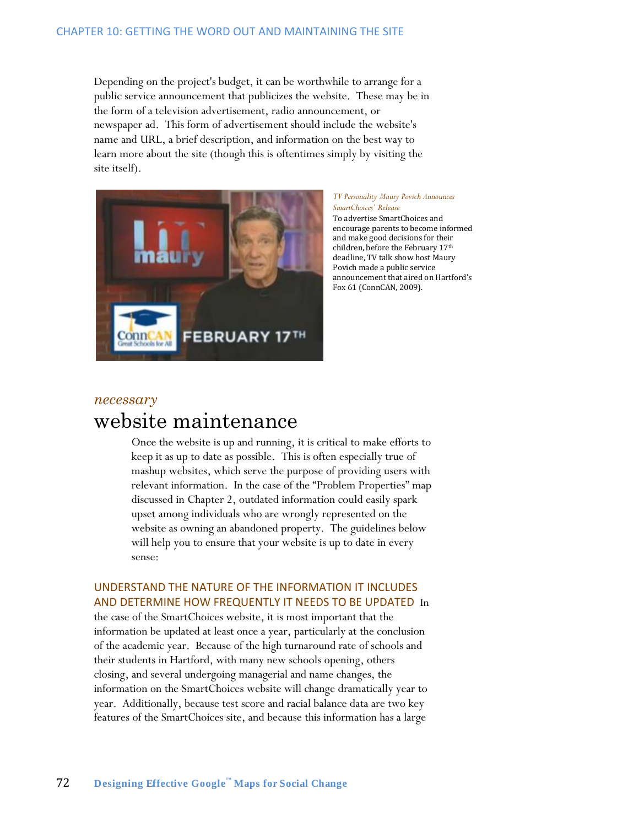Depending on the project's budget, it can be worthwhile to arrange for a public service announcement that publicizes the website. These may be in the form of a television advertisement, radio announcement, or newspaper ad. This form of advertisement should include the website's name and URL, a brief description, and information on the best way to learn more about the site (though this is oftentimes simply by visiting the site itself).



#### *TV Personality Maury Povich Announces SmartChoices' Release*

To advertise SmartChoices and encourage parents to become informed and make good decisions for their children, before the February 17th deadline, TV talk show host Maury Povich made a public service announcement that aired on Hartford's Fox 61 (ConnCAN, 2009).

## *necessary* website maintenance

Once the website is up and running, it is critical to make efforts to keep it as up to date as possible. This is often especially true of mashup websites, which serve the purpose of providing users with relevant information. In the case of the "Problem Properties" map discussed in Chapter 2, outdated information could easily spark upset among individuals who are wrongly represented on the website as owning an abandoned property. The guidelines below will help you to ensure that your website is up to date in every sense:

## UNDERSTAND THE NATURE OF THE INFORMATION IT INCLUDES AND DETERMINE HOW FREQUENTLY IT NEEDS TO BE UPDATED In

the case of the SmartChoices website, it is most important that the information be updated at least once a year, particularly at the conclusion of the academic year. Because of the high turnaround rate of schools and their students in Hartford, with many new schools opening, others closing, and several undergoing managerial and name changes, the information on the SmartChoices website will change dramatically year to year. Additionally, because test score and racial balance data are two key features of the SmartChoices site, and because this information has a large